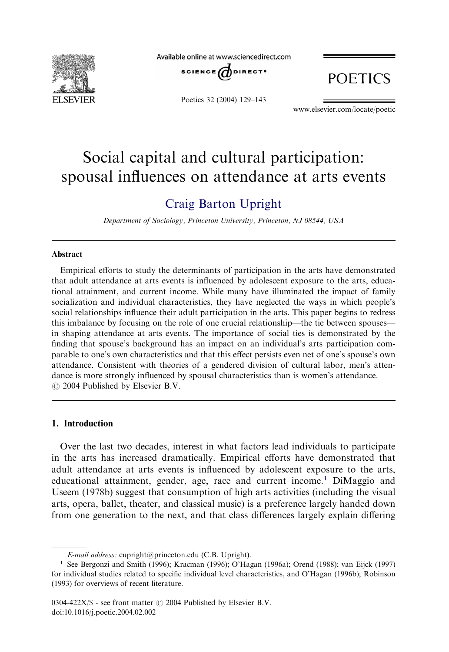

Available online at www.sciencedirect.com



**POETICS** 

Poetics 32 (2004) 129–143

[www.elsevier.com/locate/poetic](http://www.elsevier.com/locate/poetic/a4.3d)

# Social capital and cultural participation: spousal influences on attendance at arts events

# [Craig Barton Upright](#page-14-0)

Department of Sociology, Princeton University, Princeton, NJ 08544, USA

#### Abstract

Empirical efforts to study the determinants of participation in the arts have demonstrated that adult attendance at arts events is influenced by adolescent exposure to the arts, educational attainment, and current income.While many have illuminated the impact of family socialization and individual characteristics, they have neglected the ways in which people's social relationships influence their adult participation in the arts. This paper begins to redress this imbalance by focusing on the role of one crucial relationship—the tie between spouses in shaping attendance at arts events.The importance of social ties is demonstrated by the finding that spouse's background has an impact on an individual's arts participation comparable to one's own characteristics and that this effect persists even net of one's spouse's own attendance.Consistent with theories of a gendered division of cultural labor, men's attendance is more strongly influenced by spousal characteristics than is women's attendance.  $\circ$  2004 Published by Elsevier B.V.

# 1. Introduction

Over the last two decades, interest in what factors lead individuals to participate in the arts has increased dramatically.Empirical efforts have demonstrated that adult attendance at arts events is influenced by adolescent exposure to the arts, educational attainment, gender, age, race and current income.<sup>1</sup> DiMaggio and Useem (1978b) suggest that consumption of high arts activities (including the visual arts, opera, ballet, theater, and classical music) is a preference largely handed down from one generation to the next, and that class differences largely explain differing

E-mail address: [cupright@princeton.edu](mailto:cupright@princeton.edu) (C.B. Upright).

<sup>1</sup> See Bergonzi and Smith (1996); Kracman (1996); O'Hagan (1996a); Orend (1988); van Eijck (1997) for individual studies related to specific individual level characteristics, and O'Hagan (1996b); Robinson (1993) for overviews of recent literature.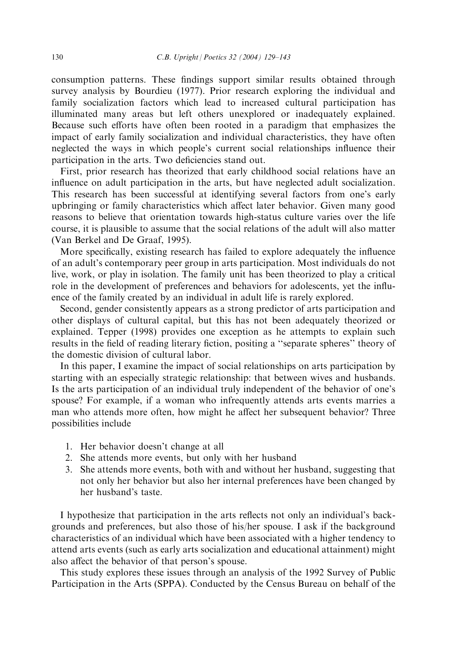consumption patterns.These findings support similar results obtained through survey analysis by Bourdieu (1977). Prior research exploring the individual and family socialization factors which lead to increased cultural participation has illuminated many areas but left others unexplored or inadequately explained. Because such efforts have often been rooted in a paradigm that emphasizes the impact of early family socialization and individual characteristics, they have often neglected the ways in which people's current social relationships influence their participation in the arts. Two deficiencies stand out.

First, prior research has theorized that early childhood social relations have an influence on adult participation in the arts, but have neglected adult socialization. This research has been successful at identifying several factors from one's early upbringing or family characteristics which affect later behavior.Given many good reasons to believe that orientation towards high-status culture varies over the life course, it is plausible to assume that the social relations of the adult will also matter (Van Berkel and De Graaf, 1995).

More specifically, existing research has failed to explore adequately the influence of an adult's contemporary peer group in arts participation.Most individuals do not live, work, or play in isolation. The family unit has been theorized to play a critical role in the development of preferences and behaviors for adolescents, yet the influence of the family created by an individual in adult life is rarely explored.

Second, gender consistently appears as a strong predictor of arts participation and other displays of cultural capital, but this has not been adequately theorized or explained.Tepper (1998) provides one exception as he attempts to explain such results in the field of reading literary fiction, positing a ''separate spheres'' theory of the domestic division of cultural labor.

In this paper, I examine the impact of social relationships on arts participation by starting with an especially strategic relationship: that between wives and husbands. Is the arts participation of an individual truly independent of the behavior of one's spouse? For example, if a woman who infrequently attends arts events marries a man who attends more often, how might he affect her subsequent behavior? Three possibilities include

- 1. Her behavior doesn't change at all
- 2.She attends more events, but only with her husband
- 3. She attends more events, both with and without her husband, suggesting that not only her behavior but also her internal preferences have been changed by her husband's taste.

I hypothesize that participation in the arts reflects not only an individual's backgrounds and preferences, but also those of his/her spouse.I ask if the background characteristics of an individual which have been associated with a higher tendency to attend arts events (such as early arts socialization and educational attainment) might also affect the behavior of that person's spouse.

This study explores these issues through an analysis of the 1992 Survey of Public Participation in the Arts (SPPA). Conducted by the Census Bureau on behalf of the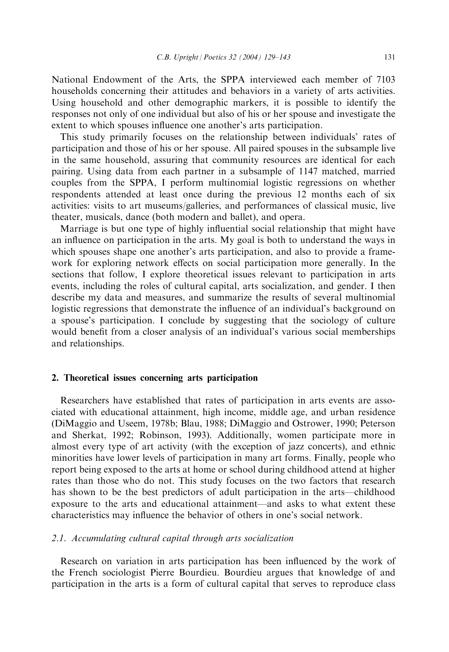National Endowment of the Arts, the SPPA interviewed each member of 7103 households concerning their attitudes and behaviors in a variety of arts activities. Using household and other demographic markers, it is possible to identify the responses not only of one individual but also of his or her spouse and investigate the extent to which spouses influence one another's arts participation.

This study primarily focuses on the relationship between individuals' rates of participation and those of his or her spouse.All paired spouses in the subsample live in the same household, assuring that community resources are identical for each pairing.Using data from each partner in a subsample of 1147 matched, married couples from the SPPA, I perform multinomial logistic regressions on whether respondents attended at least once during the previous 12 months each of six activities: visits to art museums/galleries, and performances of classical music, live theater, musicals, dance (both modern and ballet), and opera.

Marriage is but one type of highly influential social relationship that might have an influence on participation in the arts.My goal is both to understand the ways in which spouses shape one another's arts participation, and also to provide a framework for exploring network effects on social participation more generally. In the sections that follow, I explore theoretical issues relevant to participation in arts events, including the roles of cultural capital, arts socialization, and gender.I then describe my data and measures, and summarize the results of several multinomial logistic regressions that demonstrate the influence of an individual's background on a spouse's participation.I conclude by suggesting that the sociology of culture would benefit from a closer analysis of an individual's various social memberships and relationships.

## 2. Theoretical issues concerning arts participation

Researchers have established that rates of participation in arts events are associated with educational attainment, high income, middle age, and urban residence (DiMaggio and Useem, 1978b; Blau, 1988; DiMaggio and Ostrower, 1990; Peterson and Sherkat, 1992; Robinson, 1993).Additionally, women participate more in almost every type of art activity (with the exception of jazz concerts), and ethnic minorities have lower levels of participation in many art forms. Finally, people who report being exposed to the arts at home or school during childhood attend at higher rates than those who do not.This study focuses on the two factors that research has shown to be the best predictors of adult participation in the arts—childhood exposure to the arts and educational attainment—and asks to what extent these characteristics may influence the behavior of others in one's social network.

# 2.1. Accumulating cultural capital through arts socialization

Research on variation in arts participation has been influenced by the work of the French sociologist Pierre Bourdieu.Bourdieu argues that knowledge of and participation in the arts is a form of cultural capital that serves to reproduce class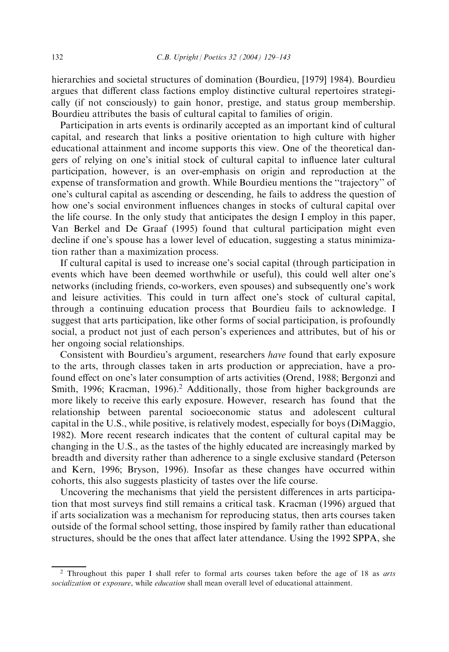hierarchies and societal structures of domination (Bourdieu, [1979] 1984). Bourdieu argues that different class factions employ distinctive cultural repertoires strategically (if not consciously) to gain honor, prestige, and status group membership. Bourdieu attributes the basis of cultural capital to families of origin.

Participation in arts events is ordinarily accepted as an important kind of cultural capital, and research that links a positive orientation to high culture with higher educational attainment and income supports this view.One of the theoretical dangers of relying on one's initial stock of cultural capital to influence later cultural participation, however, is an over-emphasis on origin and reproduction at the expense of transformation and growth.While Bourdieu mentions the ''trajectory'' of one's cultural capital as ascending or descending, he fails to address the question of how one's social environment influences changes in stocks of cultural capital over the life course.In the only study that anticipates the design I employ in this paper, Van Berkel and De Graaf (1995) found that cultural participation might even decline if one's spouse has a lower level of education, suggesting a status minimization rather than a maximization process.

If cultural capital is used to increase one's social capital (through participation in events which have been deemed worthwhile or useful), this could well alter one's networks (including friends, co-workers, even spouses) and subsequently one's work and leisure activities.This could in turn affect one's stock of cultural capital, through a continuing education process that Bourdieu fails to acknowledge.I suggest that arts participation, like other forms of social participation, is profoundly social, a product not just of each person's experiences and attributes, but of his or her ongoing social relationships.

Consistent with Bourdieu's argument, researchers have found that early exposure to the arts, through classes taken in arts production or appreciation, have a profound effect on one's later consumption of arts activities (Orend, 1988; Bergonzi and Smith, 1996; Kracman, 1996).<sup>2</sup> Additionally, those from higher backgrounds are more likely to receive this early exposure.However, research has found that the relationship between parental socioeconomic status and adolescent cultural capital in the U.S., while positive, is relatively modest, especially for boys (DiMaggio, 1982).More recent research indicates that the content of cultural capital may be changing in the U.S., as the tastes of the highly educated are increasingly marked by breadth and diversity rather than adherence to a single exclusive standard (Peterson and Kern, 1996; Bryson, 1996). Insofar as these changes have occurred within cohorts, this also suggests plasticity of tastes over the life course.

Uncovering the mechanisms that yield the persistent differences in arts participation that most surveys find still remains a critical task.Kracman (1996) argued that if arts socialization was a mechanism for reproducing status, then arts courses taken outside of the formal school setting, those inspired by family rather than educational structures, should be the ones that affect later attendance.Using the 1992 SPPA, she

<sup>&</sup>lt;sup>2</sup> Throughout this paper I shall refer to formal arts courses taken before the age of 18 as *arts* socialization or exposure, while education shall mean overall level of educational attainment.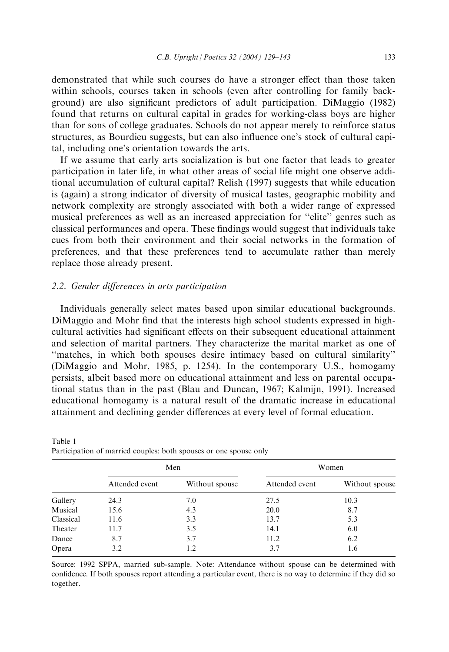<span id="page-4-0"></span>demonstrated that while such courses do have a stronger effect than those taken within schools, courses taken in schools (even after controlling for family background) are also significant predictors of adult participation.DiMaggio (1982) found that returns on cultural capital in grades for working-class boys are higher than for sons of college graduates. Schools do not appear merely to reinforce status structures, as Bourdieu suggests, but can also influence one's stock of cultural capital, including one's orientation towards the arts.

If we assume that early arts socialization is but one factor that leads to greater participation in later life, in what other areas of social life might one observe additional accumulation of cultural capital? Relish (1997) suggests that while education is (again) a strong indicator of diversity of musical tastes, geographic mobility and network complexity are strongly associated with both a wider range of expressed musical preferences as well as an increased appreciation for ''elite'' genres such as classical performances and opera.These findings would suggest that individuals take cues from both their environment and their social networks in the formation of preferences, and that these preferences tend to accumulate rather than merely replace those already present.

#### 2.2. Gender differences in arts participation

Individuals generally select mates based upon similar educational backgrounds. DiMaggio and Mohr find that the interests high school students expressed in highcultural activities had significant effects on their subsequent educational attainment and selection of marital partners.They characterize the marital market as one of ''matches, in which both spouses desire intimacy based on cultural similarity'' (DiMaggio and Mohr, 1985, p.1254).In the contemporary U.S., homogamy persists, albeit based more on educational attainment and less on parental occupational status than in the past (Blau and Duncan, 1967; Kalmijn, 1991). Increased educational homogamy is a natural result of the dramatic increase in educational attainment and declining gender differences at every level of formal education.

|           | Men            |                | Women          |                |  |
|-----------|----------------|----------------|----------------|----------------|--|
|           | Attended event | Without spouse | Attended event | Without spouse |  |
| Gallery   | 24.3           | 7.0            | 27.5           | 10.3           |  |
| Musical   | 15.6           | 4.3            | 20.0           | 8.7            |  |
| Classical | 11.6           | 3.3            | 13.7           | 5.3            |  |
| Theater   | 11.7           | 3.5            | 14.1           | 6.0            |  |
| Dance     | 8.7            | 3.7            | 11.2           | 6.2            |  |
| Opera     | 3.2            | 1.2            | 3.7            | 1.6            |  |

Table 1 Participation of married couples: both spouses or one spouse only

Source: 1992 SPPA, married sub-sample. Note: Attendance without spouse can be determined with confidence.If both spouses report attending a particular event, there is no way to determine if they did so together.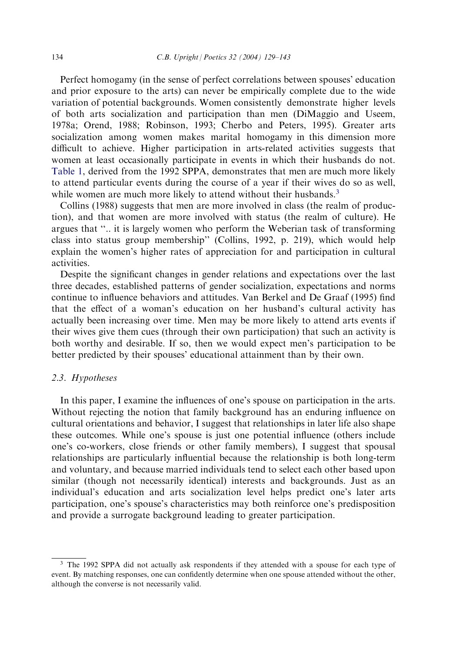Perfect homogamy (in the sense of perfect correlations between spouses' education and prior exposure to the arts) can never be empirically complete due to the wide variation of potential backgrounds.Women consistently demonstrate higher levels of both arts socialization and participation than men (DiMaggio and Useem, 1978a; Orend, 1988; Robinson, 1993; Cherbo and Peters, 1995). Greater arts socialization among women makes marital homogamy in this dimension more difficult to achieve.Higher participation in arts-related activities suggests that women at least occasionally participate in events in which their husbands do not. [Table 1](#page-4-0), derived from the 1992 SPPA, demonstrates that men are much more likely to attend particular events during the course of a year if their wives do so as well, while women are much more likely to attend without their husbands.<sup>3</sup>

Collins (1988) suggests that men are more involved in class (the realm of production), and that women are more involved with status (the realm of culture). He argues that ''.. it is largely women who perform the Weberian task of transforming class into status group membership'' (Collins, 1992, p.219), which would help explain the women's higher rates of appreciation for and participation in cultural activities.

Despite the significant changes in gender relations and expectations over the last three decades, established patterns of gender socialization, expectations and norms continue to influence behaviors and attitudes.Van Berkel and De Graaf (1995) find that the effect of a woman's education on her husband's cultural activity has actually been increasing over time.Men may be more likely to attend arts events if their wives give them cues (through their own participation) that such an activity is both worthy and desirable.If so, then we would expect men's participation to be better predicted by their spouses' educational attainment than by their own.

#### 2.3. Hypotheses

In this paper, I examine the influences of one's spouse on participation in the arts. Without rejecting the notion that family background has an enduring influence on cultural orientations and behavior, I suggest that relationships in later life also shape these outcomes.While one's spouse is just one potential influence (others include one's co-workers, close friends or other family members), I suggest that spousal relationships are particularly influential because the relationship is both long-term and voluntary, and because married individuals tend to select each other based upon similar (though not necessarily identical) interests and backgrounds. Just as an individual's education and arts socialization level helps predict one's later arts participation, one's spouse's characteristics may both reinforce one's predisposition and provide a surrogate background leading to greater participation.

<sup>&</sup>lt;sup>3</sup> The 1992 SPPA did not actually ask respondents if they attended with a spouse for each type of event.By matching responses, one can confidently determine when one spouse attended without the other, although the converse is not necessarily valid.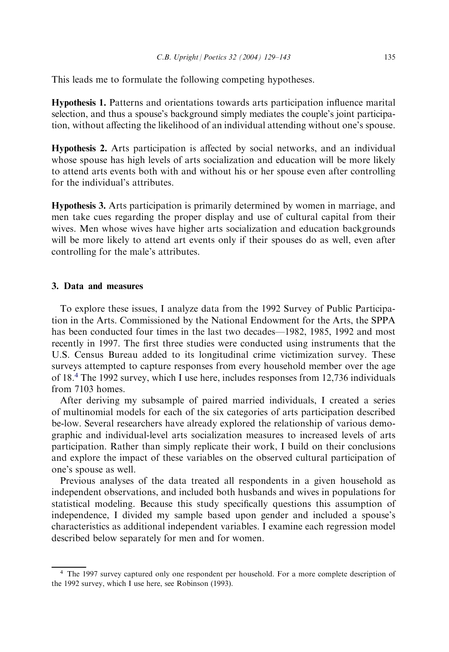This leads me to formulate the following competing hypotheses.

Hypothesis 1. Patterns and orientations towards arts participation influence marital selection, and thus a spouse's background simply mediates the couple's joint participation, without affecting the likelihood of an individual attending without one's spouse.

Hypothesis 2. Arts participation is affected by social networks, and an individual whose spouse has high levels of arts socialization and education will be more likely to attend arts events both with and without his or her spouse even after controlling for the individual's attributes.

Hypothesis 3. Arts participation is primarily determined by women in marriage, and men take cues regarding the proper display and use of cultural capital from their wives.Men whose wives have higher arts socialization and education backgrounds will be more likely to attend art events only if their spouses do as well, even after controlling for the male's attributes.

## 3. Data and measures

To explore these issues, I analyze data from the 1992 Survey of Public Participation in the Arts. Commissioned by the National Endowment for the Arts, the SPPA has been conducted four times in the last two decades—1982, 1985, 1992 and most recently in 1997.The first three studies were conducted using instruments that the U.S. Census Bureau added to its longitudinal crime victimization survey. These surveys attempted to capture responses from every household member over the age of 18.<sup>4</sup> The 1992 survey, which I use here, includes responses from 12,736 individuals from 7103 homes.

After deriving my subsample of paired married individuals, I created a series of multinomial models for each of the six categories of arts participation described be-low. Several researchers have already explored the relationship of various demographic and individual-level arts socialization measures to increased levels of arts participation.Rather than simply replicate their work, I build on their conclusions and explore the impact of these variables on the observed cultural participation of one's spouse as well.

Previous analyses of the data treated all respondents in a given household as independent observations, and included both husbands and wives in populations for statistical modeling. Because this study specifically questions this assumption of independence, I divided my sample based upon gender and included a spouse's characteristics as additional independent variables.I examine each regression model described below separately for men and for women.

<sup>4</sup> The 1997 survey captured only one respondent per household.For a more complete description of the 1992 survey, which I use here, see Robinson (1993).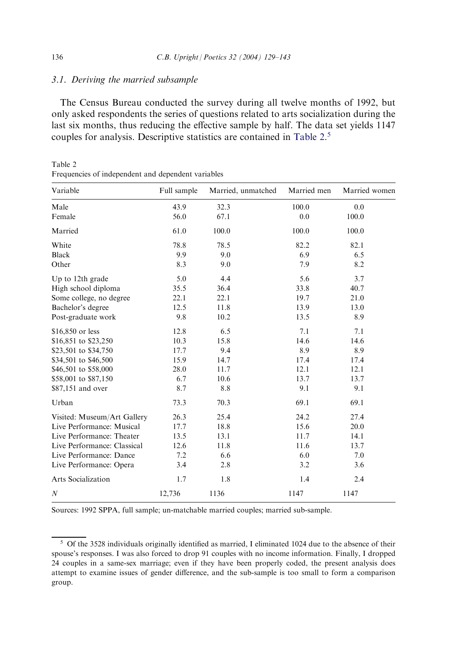# 3.1. Deriving the married subsample

The Census Bureau conducted the survey during all twelve months of 1992, but only asked respondents the series of questions related to arts socialization during the last six months, thus reducing the effective sample by half.The data set yields 1147 couples for analysis. Descriptive statistics are contained in Table 2.<sup>5</sup>

Table 2 Frequencies of independent and dependent variables

| Variable                    | Full sample | Married, unmatched | Married men | Married women |
|-----------------------------|-------------|--------------------|-------------|---------------|
| Male                        | 43.9        | 32.3               | 100.0       | 0.0           |
| Female                      | 56.0        | 67.1               | 0.0         | 100.0         |
| Married                     | 61.0        | 100.0              | 100.0       | 100.0         |
| White                       | 78.8        | 78.5               | 82.2        | 82.1          |
| <b>Black</b>                | 9.9         | 9.0                | 6.9         | 6.5           |
| Other                       | 8.3         | 9.0                | 7.9         | 8.2           |
| Up to 12th grade            | 5.0         | 4.4                | 5.6         | 3.7           |
| High school diploma         | 35.5        | 36.4               | 33.8        | 40.7          |
| Some college, no degree     | 22.1        | 22.1               | 19.7        | 21.0          |
| Bachelor's degree           | 12.5        | 11.8               | 13.9        | 13.0          |
| Post-graduate work          | 9.8         | 10.2               | 13.5        | 8.9           |
| \$16,850 or less            | 12.8        | 6.5                | 7.1         | 7.1           |
| \$16,851 to \$23,250        | 10.3        | 15.8               | 14.6        | 14.6          |
| \$23,501 to \$34,750        | 17.7        | 9.4                | 8.9         | 8.9           |
| \$34,501 to \$46,500        | 15.9        | 14.7               | 17.4        | 17.4          |
| \$46,501 to \$58,000        | 28.0        | 11.7               | 12.1        | 12.1          |
| \$58,001 to \$87,150        | 6.7         | 10.6               | 13.7        | 13.7          |
| \$87,151 and over           | 8.7         | 8.8                | 9.1         | 9.1           |
| Urban                       | 73.3        | 70.3               | 69.1        | 69.1          |
| Visited: Museum/Art Gallery | 26.3        | 25.4               | 24.2        | 27.4          |
| Live Performance: Musical   | 17.7        | 18.8               | 15.6        | 20.0          |
| Live Performance: Theater   | 13.5        | 13.1               | 11.7        | 14.1          |
| Live Performance: Classical | 12.6        | 11.8               | 11.6        | 13.7          |
| Live Performance: Dance     | 7.2         | 6.6                | 6.0         | 7.0           |
| Live Performance: Opera     | 3.4         | 2.8                | 3.2         | 3.6           |
| Arts Socialization          | 1.7         | 1.8                | 1.4         | 2.4           |
| N                           | 12,736      | 1136               | 1147        | 1147          |

Sources: 1992 SPPA, full sample; un-matchable married couples; married sub-sample.

<sup>5</sup> Of the 3528 individuals originally identified as married, I eliminated 1024 due to the absence of their spouse's responses. I was also forced to drop 91 couples with no income information. Finally, I dropped 24 couples in a same-sex marriage; even if they have been properly coded, the present analysis does attempt to examine issues of gender difference, and the sub-sample is too small to form a comparison group.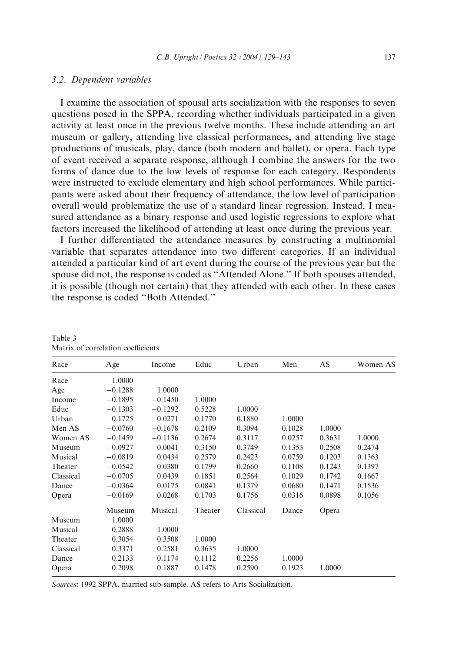## <span id="page-8-0"></span>3.2. Dependent variables

I examine the association of spousal arts socialization with the responses to seven questions posed in the SPPA, recording whether individuals participated in a given activity at least once in the previous twelve months.These include attending an art museum or gallery, attending live classical performances, and attending live stage productions of musicals, play, dance (both modern and ballet), or opera.Each type of event received a separate response, although I combine the answers for the two forms of dance due to the low levels of response for each category. Respondents were instructed to exclude elementary and high school performances.While participants were asked about their frequency of attendance, the low level of participation overall would problematize the use of a standard linear regression. Instead, I measured attendance as a binary response and used logistic regressions to explore what factors increased the likelihood of attending at least once during the previous year.

I further differentiated the attendance measures by constructing a multinomial variable that separates attendance into two different categories.If an individual attended a particular kind of art event during the course of the previous year but the spouse did not, the response is coded as ''Attended Alone.'' If both spouses attended, it is possible (though not certain) that they attended with each other.In these cases the response is coded ''Both Attended.''

| Race      | Age       | Income    | Educ    | Urban     | Men    | AS     | Women AS |
|-----------|-----------|-----------|---------|-----------|--------|--------|----------|
| Race      | 1.0000    |           |         |           |        |        |          |
| Age       | $-0.1288$ | 1.0000    |         |           |        |        |          |
| Income    | $-0.1895$ | $-0.1450$ | 1.0000  |           |        |        |          |
| Educ      | $-0.1303$ | $-0.1292$ | 0.5228  | 1.0000    |        |        |          |
| Urban     | 0.1725    | 0.0271    | 0.1770  | 0.1880    | 1.0000 |        |          |
| Men AS    | $-0.0760$ | $-0.1678$ | 0.2109  | 0.3094    | 0.1028 | 1.0000 |          |
| Women AS  | $-0.1459$ | $-0.1136$ | 0.2674  | 0.3117    | 0.0257 | 0.3631 | 1.0000   |
| Museum    | $-0.0927$ | 0.0041    | 0.3150  | 0.3749    | 0.1353 | 0.2508 | 0.2474   |
| Musical   | $-0.0819$ | 0.0434    | 0.2579  | 0.2423    | 0.0759 | 0.1203 | 0.1363   |
| Theater   | $-0.0542$ | 0.0380    | 0.1799  | 0.2660    | 0.1108 | 0.1243 | 0.1397   |
| Classical | $-0.0705$ | 0.0439    | 0.1851  | 0.2564    | 0.1029 | 0.1742 | 0.1667   |
| Dance     | $-0.0364$ | 0.0175    | 0.0841  | 0.1379    | 0.0680 | 0.1471 | 0.1536   |
| Opera     | $-0.0169$ | 0.0268    | 0.1703  | 0.1756    | 0.0316 | 0.0898 | 0.1056   |
|           | Museum    | Musical   | Theater | Classical | Dance  | Opera  |          |
| Museum    | 1.0000    |           |         |           |        |        |          |
| Musical   | 0.2888    | 1.0000    |         |           |        |        |          |
| Theater   | 0.3054    | 0.3508    | 1.0000  |           |        |        |          |
| Classical | 0.3371    | 0.2581    | 0.3635  | 1.0000    |        |        |          |
| Dance     | 0.2133    | 0.1174    | 0.1112  | 0.2256    | 1.0000 |        |          |
| Opera     | 0.2098    | 0.1887    | 0.1478  | 0.2590    | 0.1923 | 1.0000 |          |

Table 3 Matrix of correlation coefficients

Sources: 1992 SPPA, married sub-sample. AS refers to Arts Socialization.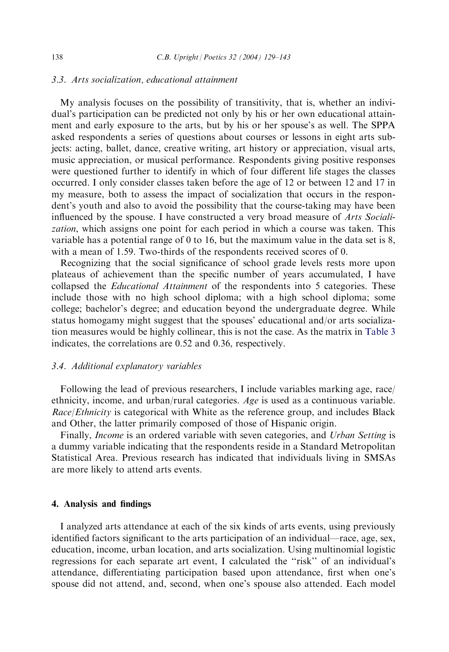#### 3.3. Arts socialization, educational attainment

My analysis focuses on the possibility of transitivity, that is, whether an individual's participation can be predicted not only by his or her own educational attainment and early exposure to the arts, but by his or her spouse's as well.The SPPA asked respondents a series of questions about courses or lessons in eight arts subjects: acting, ballet, dance, creative writing, art history or appreciation, visual arts, music appreciation, or musical performance.Respondents giving positive responses were questioned further to identify in which of four different life stages the classes occurred.I only consider classes taken before the age of 12 or between 12 and 17 in my measure, both to assess the impact of socialization that occurs in the respondent's youth and also to avoid the possibility that the course-taking may have been influenced by the spouse. I have constructed a very broad measure of *Arts Sociali*zation, which assigns one point for each period in which a course was taken. This variable has a potential range of 0 to 16, but the maximum value in the data set is 8, with a mean of 1.59. Two-thirds of the respondents received scores of 0.

Recognizing that the social significance of school grade levels rests more upon plateaus of achievement than the specific number of years accumulated, I have collapsed the *Educational Attainment* of the respondents into 5 categories. These include those with no high school diploma; with a high school diploma; some college; bachelor's degree; and education beyond the undergraduate degree.While status homogamy might suggest that the spouses' educational and/or arts socialization measures would be highly collinear, this is not the case.As the matrix in [Table 3](#page-8-0) indicates, the correlations are 0.52 and 0.36, respectively.

#### 3.4. Additional explanatory variables

Following the lead of previous researchers, I include variables marking age, race/ ethnicity, income, and urban/rural categories. Age is used as a continuous variable. Race/Ethnicity is categorical with White as the reference group, and includes Black and Other, the latter primarily composed of those of Hispanic origin.

Finally, Income is an ordered variable with seven categories, and Urban Setting is a dummy variable indicating that the respondents reside in a Standard Metropolitan Statistical Area. Previous research has indicated that individuals living in SMSAs are more likely to attend arts events.

#### 4. Analysis and findings

I analyzed arts attendance at each of the six kinds of arts events, using previously identified factors significant to the arts participation of an individual—race, age, sex, education, income, urban location, and arts socialization.Using multinomial logistic regressions for each separate art event, I calculated the ''risk'' of an individual's attendance, differentiating participation based upon attendance, first when one's spouse did not attend, and, second, when one's spouse also attended. Each model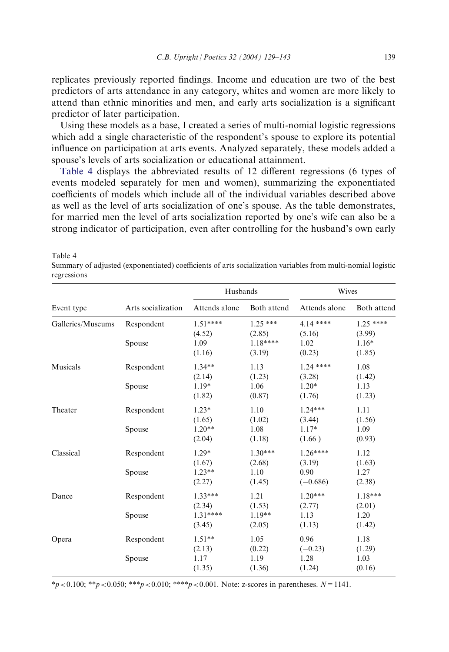replicates previously reported findings.Income and education are two of the best predictors of arts attendance in any category, whites and women are more likely to attend than ethnic minorities and men, and early arts socialization is a significant predictor of later participation.

Using these models as a base, I created a series of multi-nomial logistic regressions which add a single characteristic of the respondent's spouse to explore its potential influence on participation at arts events.Analyzed separately, these models added a spouse's levels of arts socialization or educational attainment.

Table 4 displays the abbreviated results of 12 different regressions (6 types of events modeled separately for men and women), summarizing the exponentiated coefficients of models which include all of the individual variables described above as well as the level of arts socialization of one's spouse.As the table demonstrates, for married men the level of arts socialization reported by one's wife can also be a strong indicator of participation, even after controlling for the husband's own early

Table 4

Summary of adjusted (exponentiated) coefficients of arts socialization variables from multi-nomial logistic regressions

|                    | Husbands      |             | Wives         |             |
|--------------------|---------------|-------------|---------------|-------------|
| Arts socialization | Attends alone | Both attend | Attends alone | Both attend |
| Respondent         | $1.51***$     | $1.25***$   | 4.14 ****     | $1.25***$   |
|                    | (4.52)        | (2.85)      | (5.16)        | (3.99)      |
| Spouse             | 1.09          | $1.18***$   | 1.02          | $1.16*$     |
|                    | (1.16)        | (3.19)      | (0.23)        | (1.85)      |
| Respondent         | $1.34**$      | 1.13        | $1.24$ ****   | 1.08        |
|                    | (2.14)        | (1.23)      | (3.28)        | (1.42)      |
| Spouse             | $1.19*$       | 1.06        | $1.20*$       | 1.13        |
|                    | (1.82)        | (0.87)      | (1.76)        | (1.23)      |
| Respondent         | $1.23*$       | 1.10        | $1.24***$     | 1.11        |
|                    | (1.65)        | (1.02)      | (3.44)        | (1.56)      |
| Spouse             | $1.20**$      | 1.08        | $1.17*$       | 1.09        |
|                    | (2.04)        | (1.18)      | (1.66)        | (0.93)      |
| Respondent         | $1.29*$       | $1.30***$   | $1.26***$     | 1.12        |
|                    | (1.67)        | (2.68)      | (3.19)        | (1.63)      |
| Spouse             | $1.23**$      | 1.10        | 0.90          | 1.27        |
|                    | (2.27)        | (1.45)      | $(-0.686)$    | (2.38)      |
| Respondent         | $1.33***$     | 1.21        | $1.20***$     | $1.18***$   |
|                    | (2.34)        | (1.53)      | (2.77)        | (2.01)      |
| Spouse             | $1.31***$     | $1.19**$    | 1.13          | 1.20        |
|                    | (3.45)        | (2.05)      | (1.13)        | (1.42)      |
| Respondent         | $1.51**$      | 1.05        | 0.96          | 1.18        |
|                    | (2.13)        | (0.22)      | $(-0.23)$     | (1.29)      |
| Spouse             | 1.17          | 1.19        | 1.28          | 1.03        |
|                    | (1.35)        | (1.36)      | (1.24)        | (0.16)      |
|                    |               |             |               |             |

\*p < 0.100; \*\*p < 0.050; \*\*\*p < 0.010; \*\*\*\*p < 0.001. Note: z-scores in parentheses.  $N = 1141$ .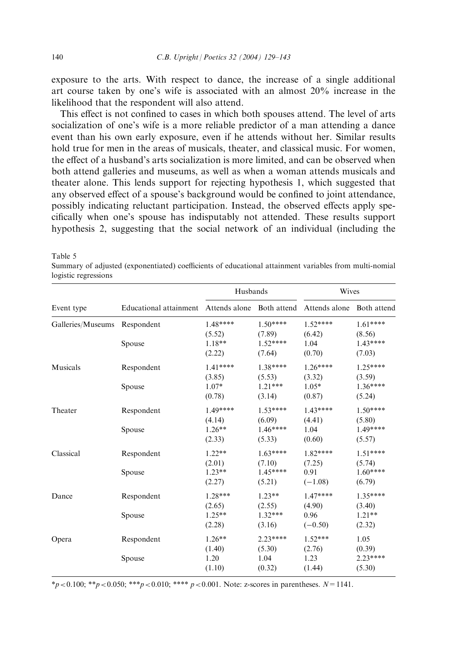<span id="page-11-0"></span>exposure to the arts.With respect to dance, the increase of a single additional art course taken by one's wife is associated with an almost 20% increase in the likelihood that the respondent will also attend.

This effect is not confined to cases in which both spouses attend.The level of arts socialization of one's wife is a more reliable predictor of a man attending a dance event than his own early exposure, even if he attends without her. Similar results hold true for men in the areas of musicals, theater, and classical music. For women, the effect of a husband's arts socialization is more limited, and can be observed when both attend galleries and museums, as well as when a woman attends musicals and theater alone.This lends support for rejecting hypothesis 1, which suggested that any observed effect of a spouse's background would be confined to joint attendance, possibly indicating reluctant participation.Instead, the observed effects apply specifically when one's spouse has indisputably not attended.These results support hypothesis 2, suggesting that the social network of an individual (including the

Table 5

Summary of adjusted (exponentiated) coefficients of educational attainment variables from multi-nomial logistic regressions

|                   | Educational attainment Attends alone Both attend Attends alone | Husbands            |                     | Wives               |                     |
|-------------------|----------------------------------------------------------------|---------------------|---------------------|---------------------|---------------------|
| Event type        |                                                                |                     |                     |                     | Both attend         |
| Galleries/Museums | Respondent                                                     | $1.48***$<br>(5.52) | $1.50***$<br>(7.89) | $1.52***$<br>(6.42) | $1.61***$<br>(8.56) |
|                   | Spouse                                                         | $1.18**$<br>(2.22)  | $1.52***$<br>(7.64) | 1.04<br>(0.70)      | $1.43***$<br>(7.03) |
| Musicals          | Respondent                                                     | $1.41***$<br>(3.85) | $1.38***$<br>(5.53) | $1.26***$<br>(3.32) | $1.25***$<br>(3.59) |
|                   | Spouse                                                         | $1.07*$<br>(0.78)   | $1.21***$<br>(3.14) | $1.05*$<br>(0.87)   | $1.36***$<br>(5.24) |
| Theater           | Respondent                                                     | 1.49****<br>(4.14)  | $1.53***$<br>(6.09) | $1.43***$<br>(4.41) | $1.50***$<br>(5.80) |
|                   | Spouse                                                         | $1.26**$<br>(2.33)  | $1.46***$<br>(5.33) | 1.04<br>(0.60)      | $1.49***$<br>(5.57) |
| Classical         | Respondent                                                     | $1.22**$<br>(2.01)  | $1.63***$<br>(7.10) | $1.82***$<br>(7.25) | $1.51***$<br>(5.74) |
|                   | Spouse                                                         | $1.23**$<br>(2.27)  | $1.45***$<br>(5.21) | 0.91<br>$(-1.08)$   | $1.60***$<br>(6.79) |
| Dance             | Respondent                                                     | $1.28***$<br>(2.65) | $1.23**$<br>(2.55)  | $1.47***$<br>(4.90) | $1.35***$<br>(3.40) |
|                   | Spouse                                                         | $1.25**$<br>(2.28)  | $1.32***$<br>(3.16) | 0.96<br>$(-0.50)$   | $1.21**$<br>(2.32)  |
| Opera             | Respondent                                                     | $1.26**$<br>(1.40)  | $2.23***$<br>(5.30) | $1.52***$<br>(2.76) | 1.05<br>(0.39)      |
|                   | Spouse                                                         | 1.20<br>(1.10)      | 1.04<br>(0.32)      | 1.23<br>(1.44)      | $2.23***$<br>(5.30) |

 $*p < 0.100$ ;  $**p < 0.050$ ;  $***p < 0.010$ ;  $**** p < 0.001$ . Note: z-scores in parentheses. N = 1141.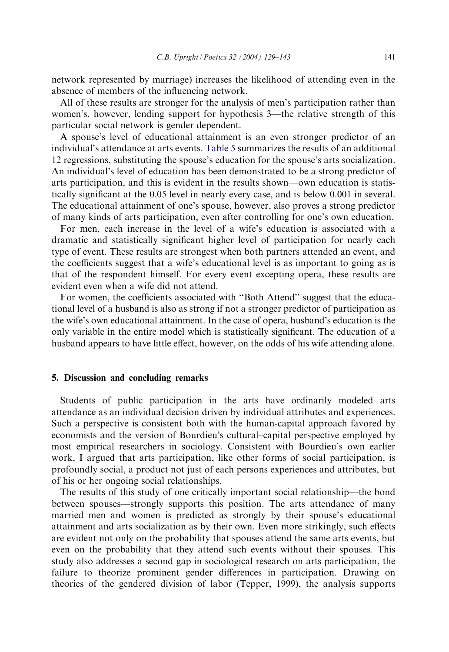network represented by marriage) increases the likelihood of attending even in the absence of members of the influencing network.

All of these results are stronger for the analysis of men's participation rather than women's, however, lending support for hypothesis 3—the relative strength of this particular social network is gender dependent.

A spouse's level of educational attainment is an even stronger predictor of an individual's attendance at arts events. [Table 5](#page-11-0) summarizes the results of an additional 12 regressions, substituting the spouse's education for the spouse's arts socialization. An individual's level of education has been demonstrated to be a strong predictor of arts participation, and this is evident in the results shown—own education is statistically significant at the 0.05 level in nearly every case, and is below 0.001 in several. The educational attainment of one's spouse, however, also proves a strong predictor of many kinds of arts participation, even after controlling for one's own education.

For men, each increase in the level of a wife's education is associated with a dramatic and statistically significant higher level of participation for nearly each type of event.These results are strongest when both partners attended an event, and the coefficients suggest that a wife's educational level is as important to going as is that of the respondent himself. For every event excepting opera, these results are evident even when a wife did not attend.

For women, the coefficients associated with ''Both Attend'' suggest that the educational level of a husband is also as strong if not a stronger predictor of participation as the wife's own educational attainment.In the case of opera, husband's education is the only variable in the entire model which is statistically significant.The education of a husband appears to have little effect, however, on the odds of his wife attending alone.

#### 5. Discussion and concluding remarks

Students of public participation in the arts have ordinarily modeled arts attendance as an individual decision driven by individual attributes and experiences. Such a perspective is consistent both with the human-capital approach favored by economists and the version of Bourdieu's cultural–capital perspective employed by most empirical researchers in sociology.Consistent with Bourdieu's own earlier work, I argued that arts participation, like other forms of social participation, is profoundly social, a product not just of each persons experiences and attributes, but of his or her ongoing social relationships.

The results of this study of one critically important social relationship—the bond between spouses—strongly supports this position.The arts attendance of many married men and women is predicted as strongly by their spouse's educational attainment and arts socialization as by their own.Even more strikingly, such effects are evident not only on the probability that spouses attend the same arts events, but even on the probability that they attend such events without their spouses.This study also addresses a second gap in sociological research on arts participation, the failure to theorize prominent gender differences in participation. Drawing on theories of the gendered division of labor (Tepper, 1999), the analysis supports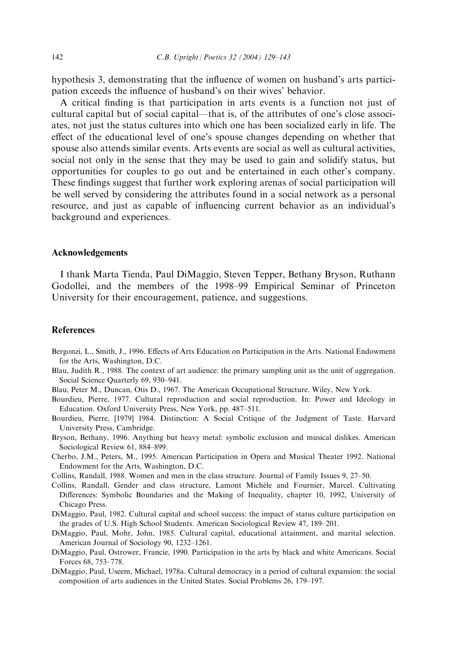hypothesis 3, demonstrating that the influence of women on husband's arts participation exceeds the influence of husband's on their wives' behavior.

A critical finding is that participation in arts events is a function not just of cultural capital but of social capital—that is, of the attributes of one's close associates, not just the status cultures into which one has been socialized early in life.The effect of the educational level of one's spouse changes depending on whether that spouse also attends similar events.Arts events are social as well as cultural activities, social not only in the sense that they may be used to gain and solidify status, but opportunities for couples to go out and be entertained in each other's company. These findings suggest that further work exploring arenas of social participation will be well served by considering the attributes found in a social network as a personal resource, and just as capable of influencing current behavior as an individual's background and experiences.

#### Acknowledgements

I thank Marta Tienda, Paul DiMaggio, Steven Tepper, Bethany Bryson, Ruthann Godollei, and the members of the 1998–99 Empirical Seminar of Princeton University for their encouragement, patience, and suggestions.

#### **References**

- Bergonzi, L., Smith, J., 1996. Effects of Arts Education on Participation in the Arts. National Endowment for the Arts, Washington, D.C.
- Blau, Judith R., 1988. The context of art audience: the primary sampling unit as the unit of aggregation. Social Science Quarterly 69, 930–941.
- Blau, Peter M., Duncan, Otis D., 1967. The American Occupational Structure. Wiley, New York.
- Bourdieu, Pierre, 1977. Cultural reproduction and social reproduction. In: Power and Ideology in Education.Oxford University Press, New York, pp.487–511.
- Bourdieu, Pierre, [1979] 1984. Distinction: A Social Critique of the Judgment of Taste. Harvard University Press, Cambridge.
- Bryson, Bethany, 1996.Anything but heavy metal: symbolic exclusion and musical dislikes.American Sociological Review 61, 884–899.
- Cherbo, J.M., Peters, M., 1995. American Participation in Opera and Musical Theater 1992. National Endowment for the Arts, Washington, D.C.
- Collins, Randall, 1988.Women and men in the class structure.Journal of Family Issues 9, 27–50.
- Collins, Randall, Gender and class structure, Lamont Michéle and Fournier, Marcel. Cultivating Differences: Symbolic Boundaries and the Making of Inequality, chapter 10, 1992, University of Chicago Press.
- DiMaggio, Paul, 1982. Cultural capital and school success: the impact of status culture participation on the grades of U.S. High School Students. American Sociological Review 47, 189–201.
- DiMaggio, Paul, Mohr, John, 1985. Cultural capital, educational attainment, and marital selection. American Journal of Sociology 90, 1232–1261.
- DiMaggio, Paul, Ostrower, Francie, 1990. Participation in the arts by black and white Americans. Social Forces 68, 753–778.
- DiMaggio, Paul, Useem, Michael, 1978a.Cultural democracy in a period of cultural expansion: the social composition of arts audiences in the United States.Social Problems 26, 179–197.